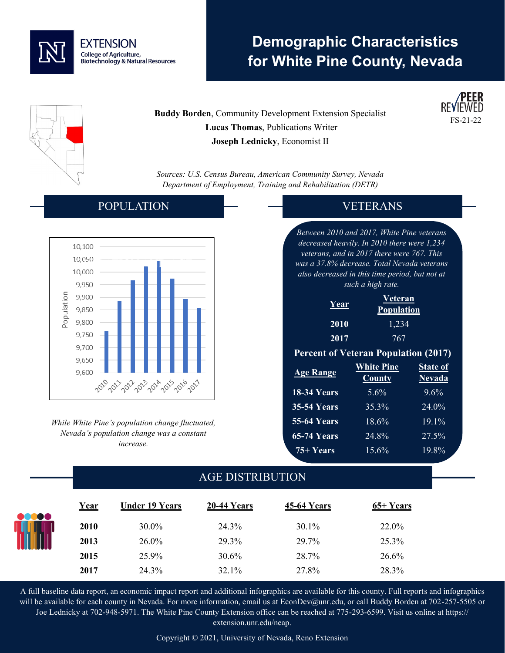

# **Demographic Characteristics for White Pine County, Nevada**

**Buddy Borden**, Community Development Extension Specialist  **Lucas Thomas**, Publications Writer **Joseph Lednicky**, Economist II



*Sources: U.S. Census Bureau, American Community Survey, Nevada Department of Employment, Training and Rehabilitation (DETR)*

#### POPULATION



*While White Pine's population change fluctuated, Nevada's population change was a constant increase.* 

### VETERANS

*Between 2010 and 2017, White Pine veterans decreased heavily. In 2010 there were 1,234 veterans, and in 2017 there were 767. This was a 37.8% decrease. Total Nevada veterans also decreased in this time period, but not at such a high rate.*

| Year | <b>Veteran</b><br><b>Population</b> |
|------|-------------------------------------|
| 2010 | 1,234                               |
| 2017 | 767                                 |

#### **Percent of Veteran Population (2017)**

| <b>Age Range</b>   | <b>White Pine</b><br><b>County</b> | <b>State of</b><br><b>Nevada</b> |  |
|--------------------|------------------------------------|----------------------------------|--|
| 18-34 Years        | 5.6%                               | 9.6%                             |  |
| <b>35-54 Years</b> | 35.3%                              | 24.0%                            |  |
| <b>55-64 Years</b> | 18.6%                              | $19.1\%$                         |  |
| <b>65-74 Years</b> | 24.8%                              | 27.5%                            |  |
| 75+ Years          | 15.6%                              | 19.8%                            |  |

## AGE DISTRIBUTION

| <b>ecoo</b> | Year | <b>Under 19 Years</b> | 20-44 Years | <b>45-64 Years</b> | 65+ Years |
|-------------|------|-----------------------|-------------|--------------------|-----------|
|             | 2010 | 30.0%                 | 24.3%       | 30.1%              | 22.0%     |
| HH          | 2013 | 26.0%                 | 29.3%       | 29.7%              | 25.3%     |
|             | 2015 | 25.9%                 | $30.6\%$    | 28.7%              | 26.6%     |
|             | 2017 | 24.3%                 | 32.1%       | 27.8%              | 28.3%     |

A full baseline data report, an economic impact report and additional infographics are available for this county. Full reports and infographics will be available for each county in Nevada. For more information, email us at EconDev@unr.edu, or call Buddy Borden at 702-257-5505 or Joe Lednicky at 702-948-5971. The White Pine County Extension office can be reached at 775-293-6599. Visit us online at https:// extension.unr.edu/neap.

Copyright © 2021, University of Nevada, Reno Extension